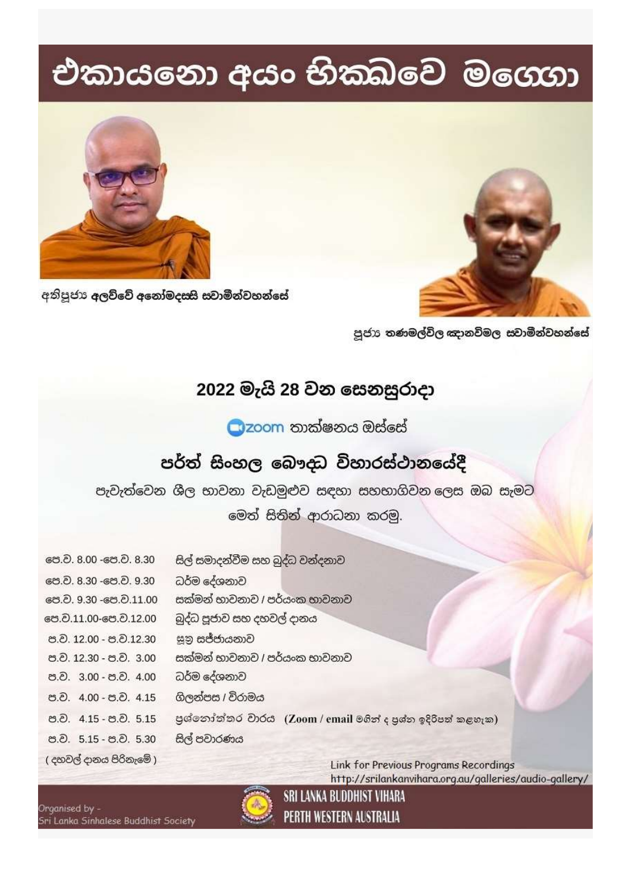## එකායනො අයං භිකඛවෙ මගෙගා





අතිපූජා අලව්වේ අනෝමදසසි සවාමීන්වහන්සේ

පූජාා තණමල්විල ඤානවිමල සවාමීන්වහන්සේ

## 2022 මැයි 28 වන සෙනසුරාදා

Czoom තාක්ෂනය ඔස්සේ

## පර්ත් සිංහල බෞදධ විහාරස්ථානයේදී

පැවැත්වෙන ශීල භාවනා වැඩමුළුව සඳහා සහභාගිවන ලෙස ඔබ සැමට

මෙත් සිතින් ආරාධනා කරමු.

| පෙ.ව. 8.00 -පෙ.ව. 8.30     | සිල් සමාදන්වීම සහ බුද්ධ වන්දනාව                             |
|----------------------------|-------------------------------------------------------------|
| පෙ.ව. 8.30 -පෙ.ව. 9.30     | ධර්ම දේශනාව                                                 |
| පෙ. ව. 9.30 - පෙ. ව. 11.00 | සක්මන් භාවනාව / පර්යංක භාවනාව                               |
| පෙ.ට.11.00-පෙ.ට.12.00      | බුද්ධ පූජාව සහ දහවල් දානය                                   |
| ප.ව. 12.00 - ප.ව.12.30     | සූනු සජ්ජායනාව                                              |
| ප.ව. 12.30 - ප.ව. 3.00     | සක්මන් භාවනාව / පර්යංක භාවනාව                               |
| ප.ව. 3.00 - ප.ව. 4.00      | ධර්ම දේශනාව                                                 |
| ප.ව. 4.00 - ප.ව. 4.15      | ගිලන්පස / විරාමය                                            |
| ප.ව. 4.15 - ප.ව. 5.15      | පුශ්නෝත්තර වාරය (Zoom / email මගින් ද පුශ්න ඉදිරිපත් කළහැක) |
| ප.ව. 5.15 - ප.ව. 5.30      | සිල් පවාරණය                                                 |
| ( දහවල් දානය පිරිනැමේ )    | <b>Link for Previous Programs Recordings</b>                |

http://srilankanvihara.org.au/galleries/audio-gallery/



Organised by -.<br>Sri Lanka Sinhalese Buddhist Society PERTH WESTERN AUSTRALIA

SRI LANKA BUDDHIST VIHARA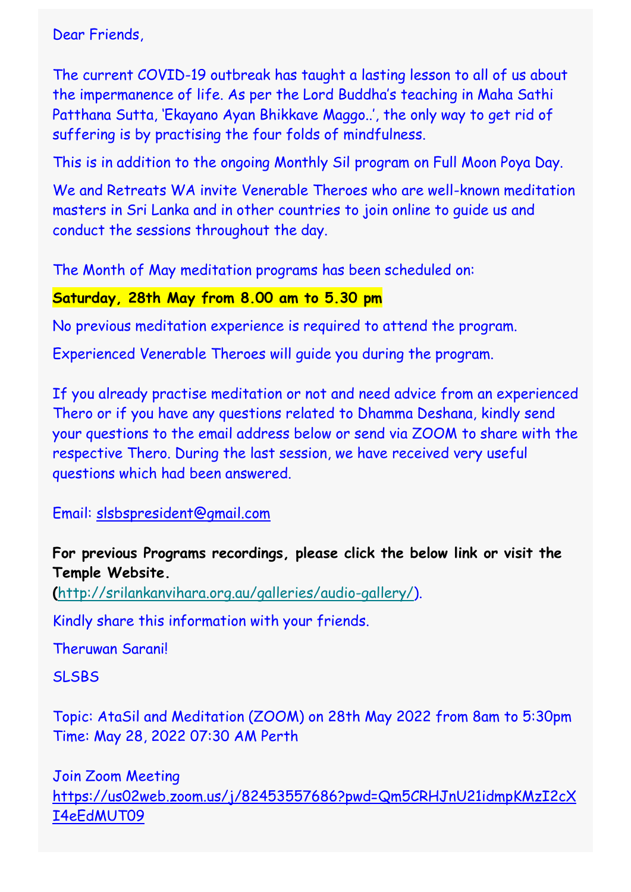Dear Friends,

The current COVID-19 outbreak has taught a lasting lesson to all of us about the impermanence of life. As per the Lord Buddha's teaching in Maha Sathi Patthana Sutta, 'Ekayano Ayan Bhikkave Maggo..', the only way to get rid of suffering is by practising the four folds of mindfulness.

This is in addition to the ongoing Monthly Sil program on Full Moon Poya Day.

We and Retreats WA invite Venerable Theroes who are well-known meditation masters in Sri Lanka and in other countries to join online to guide us and conduct the sessions throughout the day.

The Month of May meditation programs has been scheduled on:

## **Saturday, 28th May from 8.00 am to 5.30 pm**

No previous meditation experience is required to attend the program.

Experienced Venerable Theroes will guide you during the program.

If you already practise meditation or not and need advice from an experienced Thero or if you have any questions related to Dhamma Deshana, kindly send your questions to the email address below or send via ZOOM to share with the respective Thero. During the last session, we have received very useful questions which had been answered.

Email: [slsbspresident@gmail.com](mailto:slsbspresident@gmail.com)

**For previous Programs recordings, please click the below link or visit the Temple Website.**

**(**[http://srilankanvihara.org.au/galleries/audio-gallery/\)](http://srilankanvihara.org.au/galleries/audio-gallery/).

Kindly share this information with your friends.

Theruwan Sarani!

**SLSBS** 

Topic: AtaSil and Meditation (ZOOM) on 28th May 2022 from 8am to 5:30pm Time: May 28, 2022 07:30 AM Perth

Join Zoom Meeting [https://us02web.zoom.us/j/82453557686?pwd=Qm5CRHJnU21idmpKMzI2cX](https://gmail.us13.list-manage.com/track/click?u=f4160c6f1e9c64a41c8b17f01&id=3c442d4859&e=e43e599e34) [I4eEdMUT09](https://gmail.us13.list-manage.com/track/click?u=f4160c6f1e9c64a41c8b17f01&id=3c442d4859&e=e43e599e34)